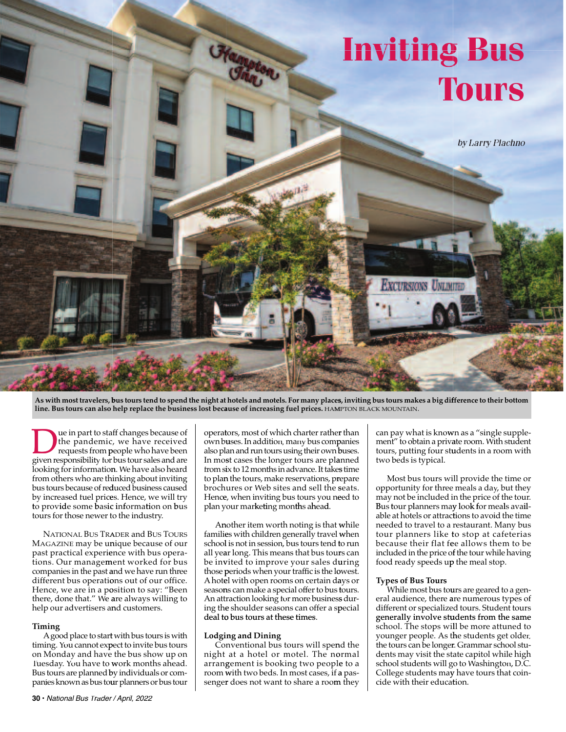

As with most travelers, bus tours tend to spend the night at hotels and motels. For many places, inviting bus tours makes a big difference to their bottom line. Bus tours can also help replace the business lost because of increasing fuel prices. HAMPTON BLACK MOUNTAIN.

**DEN UNITED STATES CONTINUES THE PROPRED STATE STATE SPECIFICATE SPECIFICATE SPECIFICATE SPECIFICATE SPECIFICATE SPECIFICATE SPECIFICATE SPECIFICATE SPECIFICATE SPECIFICATE SPECIFICATE SPECIFICATE SPECIFICATE SPECIFICATE S**  the pandemic , we have received requests from p people who have been looking for informatio**n**. We have also heard from others who are th inking about inviting bus tours because of re<mark>d</mark>uced business caused by increased fuel pric**e**s. Hence, we will try to provide some basic information on bus tours for those newer to the industry. ue in part to sta ff changes because of

MAGAZINE may be u**n**ique because of our past practical experie ence with bus operations. Our manage**m**ent worked for bus companies in the past a and we have run three different bus operations out of our office. Hence, we are in a position to say: "Been there, done that." We **a**re always willing to help our advertisers and customers. NATIONAL BUS TRA ADER and BUS TOURS

#### **Timing**

timing. You cannot expect to invite bus tours on Monday and have the bus show up on Tuesday. You have to work months ahead. Bus tours are planned by individuals or companies known as bus to**u**r planners or bus tour A good place to start with bus tours is with

 **30 •** National Bus Trader / April, 2022

operators, most of which charter rather than own bu uses.In addition, many bus comp panies also plan and run tours using their own buses. In most cases the longer tours are pl**a**nned from six to 12 months in advance. It take**s** time to pla**n** the tours, make reservations, prepare broch ures or Web sites and sell the s seats. Hence, when inviting bus tours you n**e**ed to plan your marketing months ahead.

famili**e**s with children generally travel **w**hen school l is not in session, bus tours tend t to run all year long. This means that bus tours can be invited to improve your sales d**u**ring those periods when your traffic is the lowest. Ahote el with open rooms on certain da ays or seasons can make a special offer to bus tours. An att raction looking for more business s dur- ing the e shoulder seasons can offer a sp pecial deal to bus tours at these times. A**n**other item worth noting is that **w**hile

#### **Lodgi ng and Dining**

night at a hotel or motel. The n**o**rmal arrangement is booking two peopl**e** to a room w with two beds. In most cases, if a passenger does not want to share a roo**m** they Conventional bus tours will spend the  can pay what is know wn as a "single supplement" to obtain a private room. With student tours, putting four st**u**dents in a room with two beds is typical.

 opportunity for three meals a day, but they may not be included i n the price of the tour. Bus tour planners may look for meals avail- able at hotels or attract tions to avoid the time needed to travel to a restaurant. Many bus tour planners like to stop at cafeterias because their flat fe ee allows them to be included in the price of the tour while having food ready speeds u**p** the meal stop. Most bus tours wi ll provide the time or

#### **Types of Bus Tours**

eral audience, there **a**re numerous types of different or specialize d tours. Student tours generally involve students from the same school. The stops will be more attuned to younger people. As the students get older, the tours can be longer. Grammar school stu- dents may visit the st ate capitol while high school students will g o to Washington, D.C. College students may have tours that coincide with their educa**t**ion. While most bus to**u**rs are geared to a gen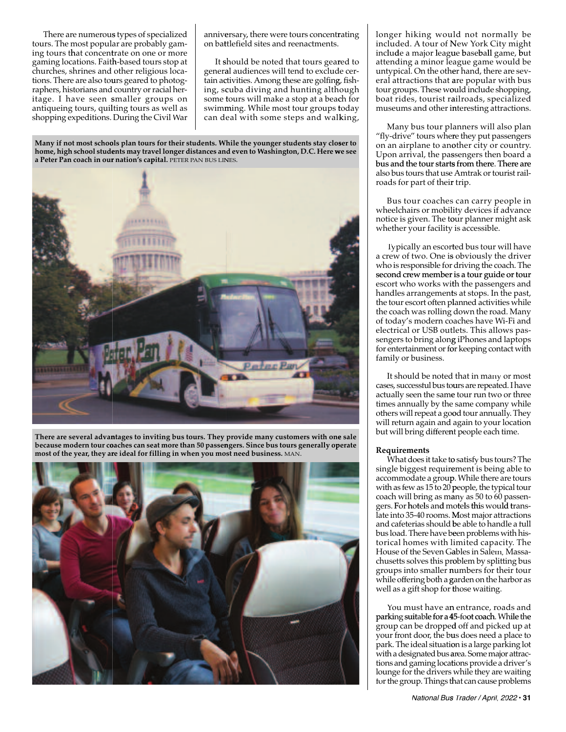tours. The most popul ar are probably gam ing tours that concentrate on one or more gaming locations. Faith h-based tours stop at churches, shrines and other religious locations. There are also tours geared to photog- raphers, historians and country orracial heritage. I have seen smaller groups on antiqueing tours, quilting tours as well as shopping expeditions. During the Civil War There are numerous s types of specialized anniv**e**rsary, there were tours concent**r** on bat ttlefield sites and reenactments.

 genera al audiences will tend to exclud e certain activities. Among these are golfin**g**, fish- ing, sc cuba diving and hunting alth ough some tours will make a stop at a beach for swim**m**ing. While most tour groups today can d eal with some steps and walk king, It should be noted that tours geared to

Many if not most schools plan tours for their students. While the younger students stay closer to home, high school students may travel longer distances and even to Washington, D.C. Here we see  **a Peter Pan coach in our r nation's capital.** PETER PAN BUS LIN NES. **p**



There are several advantages to inviting bus tours. They provide many customers with one sale because modern tour coaches can seat more than 50 passengers. Since bus tours generally operate  **most of the year, they ar re ideal for filling in when you mo st need business.** MAN.



rating | longer hiking would not normally be included. A tour of New York City might include a major league baseball game, but attending a minor le ague game would be untypical. On the oth**e**r hand, there are several attractions that **a**re popular with bus tour groups. These would include shopping, boat rides, tourist r**a**ilroads, specialized museums and other interesting attractions.

> "fly-drive" tours where they put passengers on an airplane to another city or country. Upon arrival, the pas ssengers then board a bus and the tour starts from there. There are also bus tours that use Amtrak ortouristrailroads for part of their trip. Many bus tour pl anners will also plan

> wheelchairs or mobil ity devices if advance notice is given. The t**o**ur planner might ask whether your facility is accessible. Bus tour coaches can carry people in

> a crew of two. One is obviously the driver who is responsible for driving the coach. The second crew member is a tour guide or tour escort who works with the passengers and handles arrangements at stops. In the past, the tour escort often pl lanned activities while the coach was rolling down the road. Many of today's modern co aches have Wi-Fi and electrical or USB outlets. This allows passengers to bring alon**g** iPhones and laptops for entertainment or for keeping contact with family or business. Typically an escorted bus tour will have

> cases, successful bus to**u**rs are repeated. I have actually seen the sam**e** tour run two or three times annually by the same company while others will repeat a good tour annually. They will return again and again to your location but will bring different people each time. It should be noted that in many or most

#### **Requirements**

single biggest requir**e**ment is being able to accommodate a group p.While there are tours with as few as 15 to 20 **p**eople, the typical tour coach will bring as m**a**ny as 50 to 60 passengers. For hotels and motels this would trans- late into 35-40 rooms. M Most major attractions and cafeterias should b be able to handle a full bus load. There have b**e**en problems with his- torical homes with l imited capacity. The House of the Seven Gables in Salem, Massachusetts solves this problem by splitting bus groups into smaller n numbers for their tour while offering both a g garden on the harbor as well as a gift shop for those waiting. What does it take to satisfy bus tours? The

parking suitable for a 45-foot coach. While the group can be dropped d off and picked up at your front door, the b**u**s does need a place to park. The ideal situation is a large parking lot with a designated bus **a**rea. Some major attractions and gaming locations provide a driver's lounge for the drivers while they are waiting for the group. Things that can cause problems You must have a**n** entrance, roads and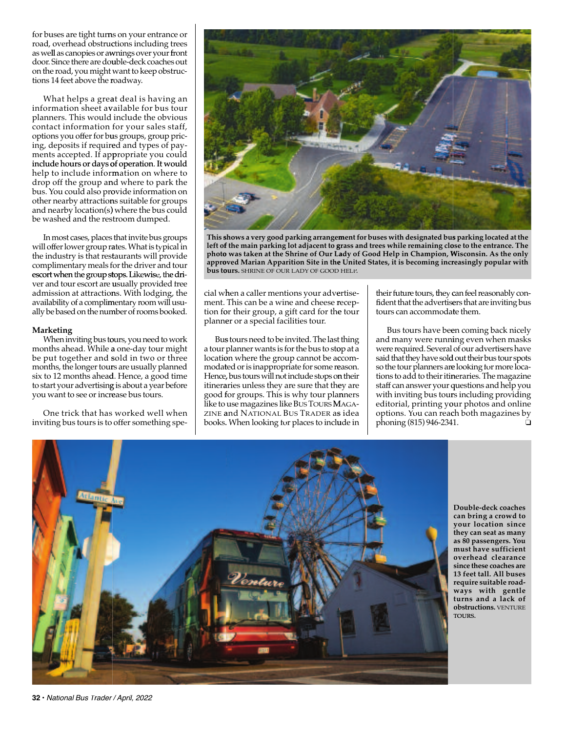for buses are tight turns on your entrance or road, overhead obstructions including trees as well as canopies or awnings over your front door. Since there are do<mark>u</mark>ble-deck coaches out on the road, you might wantto keepobstruc-tions 14 feet above the r roadway.

information sheet available for bus tour planners. This would include the obvious contact information for your sales staff, options you offer for bus groups, group pricing, deposits if requir**e**d and types of pay- ments accepted. If app propriate you could include hours or days of operation. It would help to include inform mation on where to drop off the group and where to park the bus. You could also pr**o**vide information on other nearby attractions suitable for groups and nearby location(s) ) where the bus could be washed and the res troom dumped. What helps a gre**a**t deal is having an

will offer lower group rates. What is typical in the industry is that restaurants will provide complimentary meals for the driver and tour escort when the group stops. Likewise, the driver and tour escort are **u**sually provided free admission at attractions. With lodging, the availability of a compli**m**entary room will usually be based on the number of rooms booked. In most cases, places that invite bus groups

#### **Marketing**

months ahead. While **a** one-day tour might be put together and sold in two or three months, the longer tours are usually planned six to 12 months ahead d. Hence, a good time to start your advertisin**g** is about a year before you want to see or increase bus tours. When inviting bus tours, you need to work

 inviting bus tours is to offer something spe-One trick that has worked well when



This shows a very good parking arrangement for buses with designated bus parking located at the left of the main parking lot adjacent to grass and trees while remaining close to the entrance. The photo was taken at the Shrine of Our Lady of Good Help in Champion, Wisconsin. As the only approved Marian Apparition Site in the United States, it is becoming increasingly popular with  **bus to ours.** SHRINE OF OUR LADY OF GOOD HELP.

cial w**h**en a caller mentions your adv**e**rtise- ment. This can be a wine and cheese r reception for their group, a gift card for th**e** tour planne er or a special facilities tour.

a tour planner wants is for the bus to stop at a location where the group cannot be accom- modat tedoris inappropriate for some re eason. Hence, bus tours will not include stops o**n** their itineraries unless they are sure that they are good for groups. This is why tour pla**n**ners like to use magazines like BUSTOURSM MAGAzin<mark>e and</mark> National Bus Trader a**s** idea books. When looking for places to incl**u**de in Bus tours need to be invited. The last thing their future tours, they **c**an feel reasonably confident that the advertis**e**rs that are inviting bus tours can accommodate them.

and many were running even when masks were required. Several of our advertisershave said that they have sold out their bus tour spots so the tour planners ar**e** looking for more locations to add to their iti**n**eraries. The magazine staff can answer your questions and help you with inviting bus tours including providing editorial, printing y**o**ur photos and online options. You can reach both magazines by phoning (815) 946-234 Bus tours have bee en coming back nicely 1. ❑



 **can bring a crowd to your location since they can seat as many as 80 passengers. You must have sufficient since these coaches are 13 feet tall. All buses require suitable road- turns and a lack of** TOURS. **obstructions.** VENTURE **ways with gentle overhead clearance Double-deck coaches**